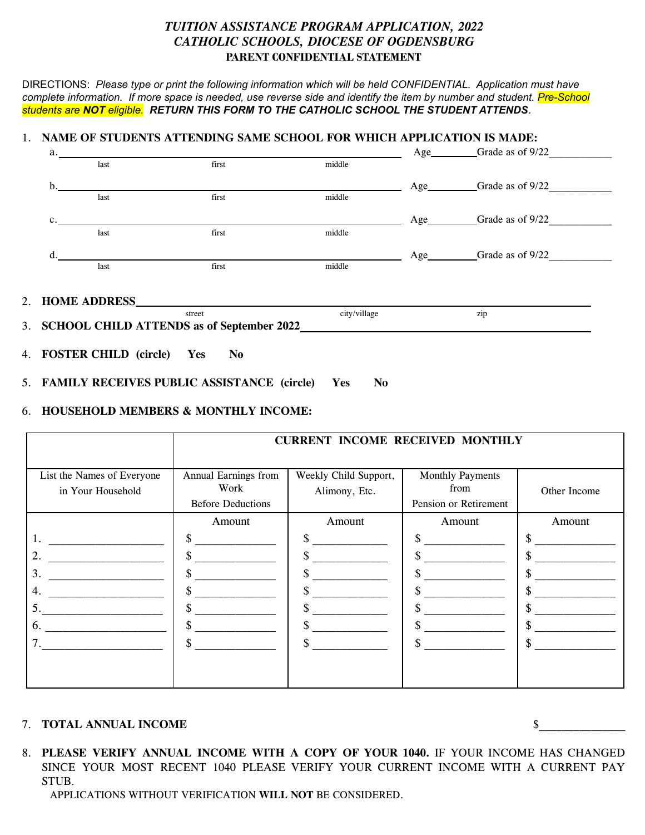## *TUITION ASSISTANCE PROGRAM APPLICATION, 2022 CATHOLIC SCHOOLS, DIOCESE OF OGDENSBURG* **PARENT CONFIDENTIAL STATEMENT**

DIRECTIONS: *Please type or print the following information which will be held CONFIDENTIAL. Application must have* complete information. If more space is needed, use reverse side and identify the item by number and student. Pre-School *students are NOT eligible. RETURN THIS FORM TO THE CATHOLIC SCHOOL THE STUDENT ATTENDS.*

## 1. **NAME OF STUDENTS ATTENDING SAME SCHOOL FOR WHICH APPLICATION IS MADE:**

| street<br>3. SCHOOL CHILD ATTENDS as of September 2022 |      |       | city/village | zip                            |  |
|--------------------------------------------------------|------|-------|--------------|--------------------------------|--|
|                                                        |      |       |              |                                |  |
|                                                        | last | first | middle       |                                |  |
| d.                                                     |      |       |              | Age__________Grade as of 9/22  |  |
|                                                        | last | first | middle       |                                |  |
| $\mathbf{c}$ .                                         |      |       |              | Age___________Grade as of 9/22 |  |
|                                                        | last | first | middle       |                                |  |
| b.                                                     |      |       |              | Age__________Grade as of 9/22  |  |
|                                                        | last | first | middle       |                                |  |
| a.                                                     |      |       |              | Age_________Grade as of 9/22   |  |

- 4. **FOSTER CHILD (circle) Yes No**
- 5. **FAMILY RECEIVES PUBLIC ASSISTANCE (circle) Yes No**

## 6. **HOUSEHOLD MEMBERS & MONTHLY INCOME:**

|                                                 | <b>CURRENT INCOME RECEIVED MONTHLY</b>                   |                                        |                                                   |              |  |  |
|-------------------------------------------------|----------------------------------------------------------|----------------------------------------|---------------------------------------------------|--------------|--|--|
| List the Names of Everyone<br>in Your Household | Annual Earnings from<br>Work<br><b>Before Deductions</b> | Weekly Child Support,<br>Alimony, Etc. | Monthly Payments<br>from<br>Pension or Retirement | Other Income |  |  |
|                                                 | Amount                                                   | Amount                                 | Amount                                            | Amount       |  |  |
| 1.                                              | \$                                                       |                                        |                                                   |              |  |  |
| 2.                                              | \$                                                       |                                        |                                                   |              |  |  |
| 3.                                              | \$                                                       |                                        |                                                   |              |  |  |
| 4.                                              | \$                                                       |                                        |                                                   |              |  |  |
| 5.                                              | J.                                                       |                                        |                                                   |              |  |  |
| 6.                                              | \$                                                       |                                        |                                                   |              |  |  |
| 7.                                              | \$                                                       |                                        |                                                   |              |  |  |
|                                                 |                                                          |                                        |                                                   |              |  |  |

## 7. **TOTAL ANNUAL INCOME** \$\_\_\_\_\_\_\_\_\_\_\_\_\_\_\_

8. **PLEASE VERIFY ANNUAL INCOME WITH A COPY OF YOUR 1040.** IF YOUR INCOME HAS CHANGED SINCE YOUR MOST RECENT 1040 PLEASE VERIFY YOUR CURRENT INCOME WITH A CURRENT PAY STUB.

APPLICATIONS WITHOUT VERIFICATION **WILL NOT** BE CONSIDERED.